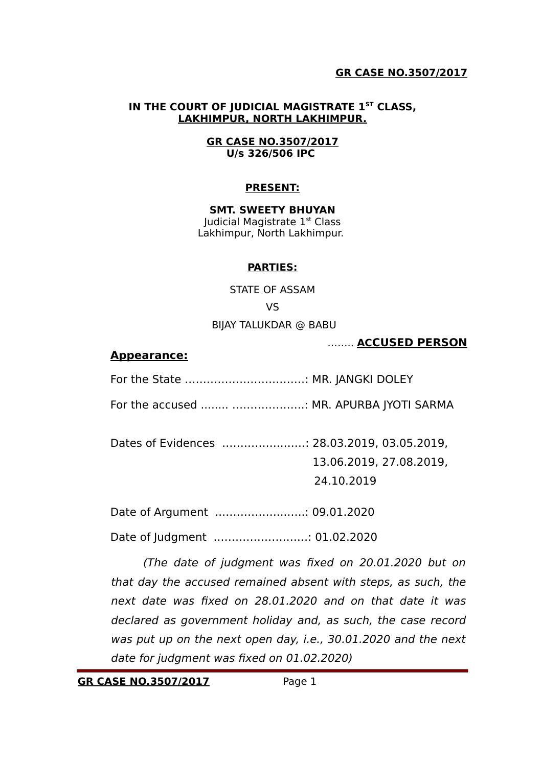#### **IN THE COURT OF JUDICIAL MAGISTRATE 1ST CLASS, LAKHIMPUR, NORTH LAKHIMPUR.**

#### **GR CASE NO.3507/2017 U/s 326/506 IPC**

#### **PRESENT:**

**SMT. SWEETY BHUYAN** Judicial Magistrate 1st Class Lakhimpur, North Lakhimpur.

#### **PARTIES:**

STATE OF ASSAM VS BIJAY TALUKDAR @ BABU

…….. **ACCUSED PERSON**

#### **Appearance:**

For the State ……………………………: MR. JANGKI DOLEY

For the accused ........ ………………..: MR. APURBA JYOTI SARMA

Dates of Evidences ……………..……: 28.03.2019, 03.05.2019,

13.06.2019, 27.08.2019,

24.10.2019

Date of Argument ..……………...…..: 09.01.2020

Date of Judgment .………………….…: 01.02.2020

(The date of judgment was fixed on 20.01.2020 but on that day the accused remained absent with steps, as such, the next date was fixed on 28.01.2020 and on that date it was declared as government holiday and, as such, the case record was put up on the next open day, i.e., 30.01.2020 and the next date for judgment was fixed on 01.02.2020)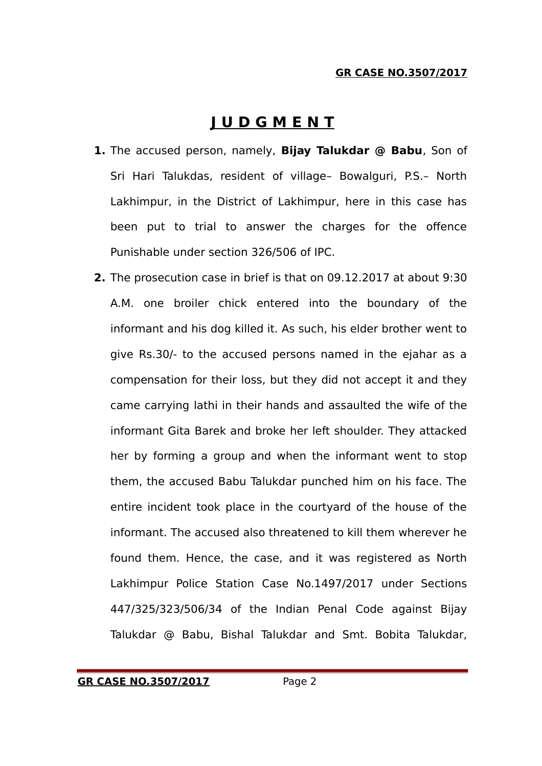# **J U D G M E N T**

- **1.** The accused person, namely, **Bijay Talukdar @ Babu**, Son of Sri Hari Talukdas, resident of village– Bowalguri, P.S.– North Lakhimpur, in the District of Lakhimpur, here in this case has been put to trial to answer the charges for the offence Punishable under section 326/506 of IPC.
- **2.** The prosecution case in brief is that on 09.12.2017 at about 9:30 A.M. one broiler chick entered into the boundary of the informant and his dog killed it. As such, his elder brother went to give Rs.30/- to the accused persons named in the ejahar as a compensation for their loss, but they did not accept it and they came carrying lathi in their hands and assaulted the wife of the informant Gita Barek and broke her left shoulder. They attacked her by forming a group and when the informant went to stop them, the accused Babu Talukdar punched him on his face. The entire incident took place in the courtyard of the house of the informant. The accused also threatened to kill them wherever he found them. Hence, the case, and it was registered as North Lakhimpur Police Station Case No.1497/2017 under Sections 447/325/323/506/34 of the Indian Penal Code against Bijay Talukdar @ Babu, Bishal Talukdar and Smt. Bobita Talukdar,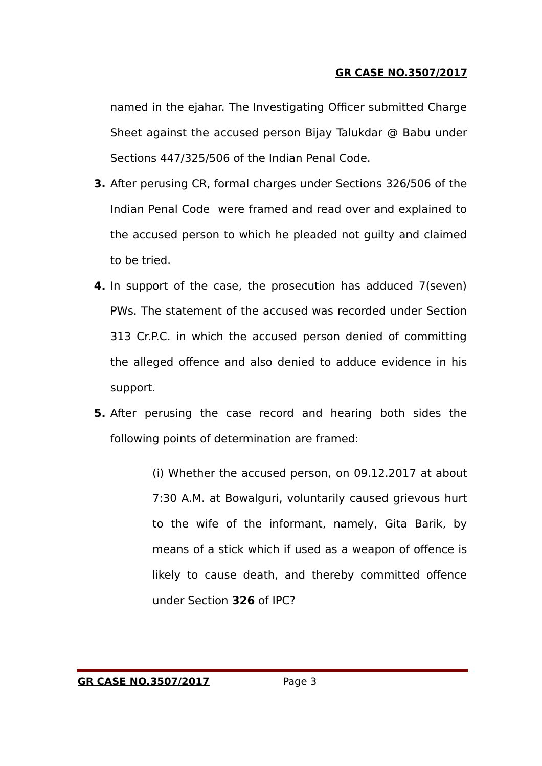named in the ejahar. The Investigating Officer submitted Charge Sheet against the accused person Bijay Talukdar @ Babu under Sections 447/325/506 of the Indian Penal Code.

- **3.** After perusing CR, formal charges under Sections 326/506 of the Indian Penal Code were framed and read over and explained to the accused person to which he pleaded not guilty and claimed to be tried.
- **4.** In support of the case, the prosecution has adduced 7(seven) PWs. The statement of the accused was recorded under Section 313 Cr.P.C. in which the accused person denied of committing the alleged offence and also denied to adduce evidence in his support.
- **5.** After perusing the case record and hearing both sides the following points of determination are framed:

(i) Whether the accused person, on 09.12.2017 at about 7:30 A.M. at Bowalguri, voluntarily caused grievous hurt to the wife of the informant, namely, Gita Barik, by means of a stick which if used as a weapon of offence is likely to cause death, and thereby committed offence under Section **326** of IPC?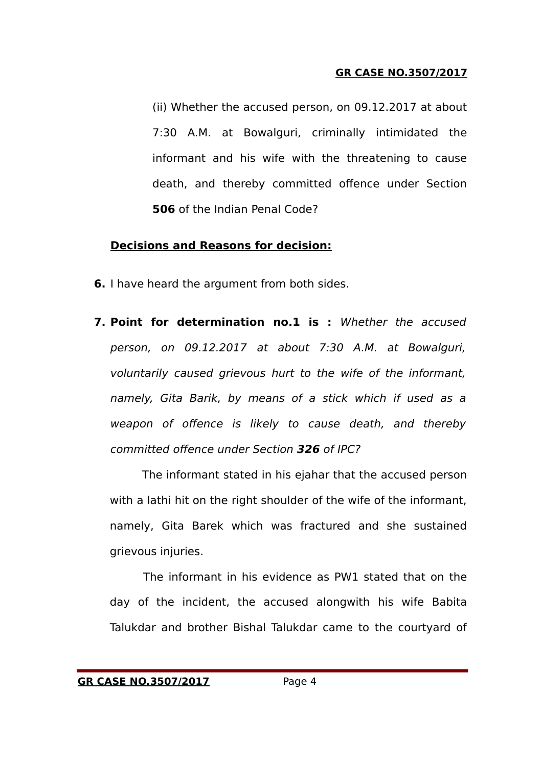(ii) Whether the accused person, on 09.12.2017 at about 7:30 A.M. at Bowalguri, criminally intimidated the informant and his wife with the threatening to cause death, and thereby committed offence under Section **506** of the Indian Penal Code?

# **Decisions and Reasons for decision:**

- **6.** I have heard the argument from both sides.
- **7. Point for determination no.1 is :** Whether the accused person, on 09.12.2017 at about 7:30 A.M. at Bowalguri, voluntarily caused grievous hurt to the wife of the informant, namely, Gita Barik, by means of a stick which if used as a weapon of offence is likely to cause death, and thereby committed offence under Section **326** of IPC?

The informant stated in his ejahar that the accused person with a lathi hit on the right shoulder of the wife of the informant, namely, Gita Barek which was fractured and she sustained grievous injuries.

The informant in his evidence as PW1 stated that on the day of the incident, the accused alongwith his wife Babita Talukdar and brother Bishal Talukdar came to the courtyard of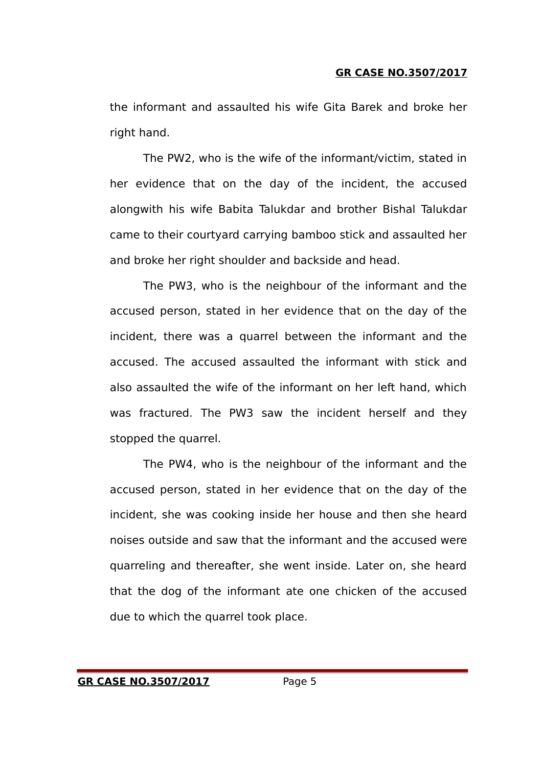the informant and assaulted his wife Gita Barek and broke her right hand.

The PW2, who is the wife of the informant/victim, stated in her evidence that on the day of the incident, the accused alongwith his wife Babita Talukdar and brother Bishal Talukdar came to their courtyard carrying bamboo stick and assaulted her and broke her right shoulder and backside and head.

The PW3, who is the neighbour of the informant and the accused person, stated in her evidence that on the day of the incident, there was a quarrel between the informant and the accused. The accused assaulted the informant with stick and also assaulted the wife of the informant on her left hand, which was fractured. The PW3 saw the incident herself and they stopped the quarrel.

The PW4, who is the neighbour of the informant and the accused person, stated in her evidence that on the day of the incident, she was cooking inside her house and then she heard noises outside and saw that the informant and the accused were quarreling and thereafter, she went inside. Later on, she heard that the dog of the informant ate one chicken of the accused due to which the quarrel took place.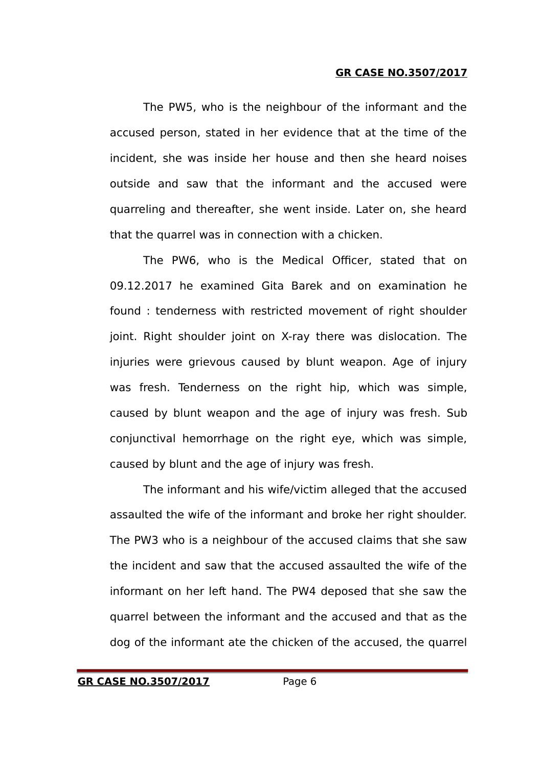The PW5, who is the neighbour of the informant and the accused person, stated in her evidence that at the time of the incident, she was inside her house and then she heard noises outside and saw that the informant and the accused were quarreling and thereafter, she went inside. Later on, she heard that the quarrel was in connection with a chicken.

The PW6, who is the Medical Officer, stated that on 09.12.2017 he examined Gita Barek and on examination he found : tenderness with restricted movement of right shoulder joint. Right shoulder joint on X-ray there was dislocation. The injuries were grievous caused by blunt weapon. Age of injury was fresh. Tenderness on the right hip, which was simple, caused by blunt weapon and the age of injury was fresh. Sub conjunctival hemorrhage on the right eye, which was simple, caused by blunt and the age of injury was fresh.

The informant and his wife/victim alleged that the accused assaulted the wife of the informant and broke her right shoulder. The PW3 who is a neighbour of the accused claims that she saw the incident and saw that the accused assaulted the wife of the informant on her left hand. The PW4 deposed that she saw the quarrel between the informant and the accused and that as the dog of the informant ate the chicken of the accused, the quarrel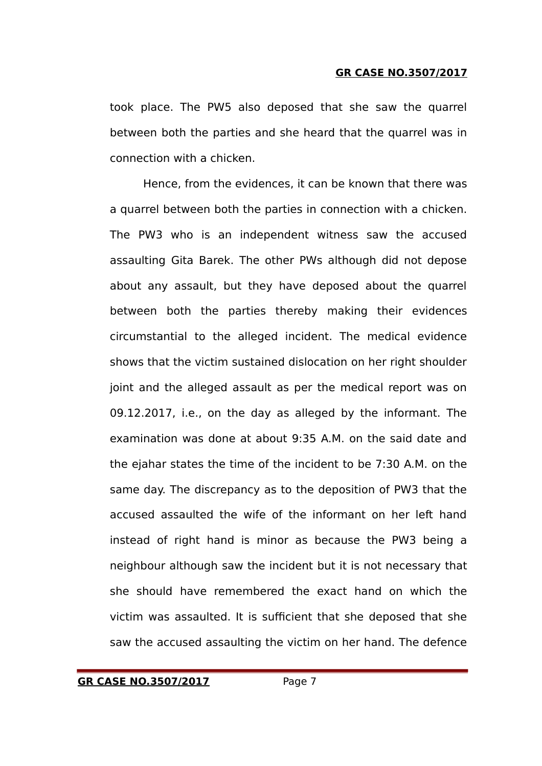took place. The PW5 also deposed that she saw the quarrel between both the parties and she heard that the quarrel was in connection with a chicken.

Hence, from the evidences, it can be known that there was a quarrel between both the parties in connection with a chicken. The PW3 who is an independent witness saw the accused assaulting Gita Barek. The other PWs although did not depose about any assault, but they have deposed about the quarrel between both the parties thereby making their evidences circumstantial to the alleged incident. The medical evidence shows that the victim sustained dislocation on her right shoulder joint and the alleged assault as per the medical report was on 09.12.2017, i.e., on the day as alleged by the informant. The examination was done at about 9:35 A.M. on the said date and the ejahar states the time of the incident to be 7:30 A.M. on the same day. The discrepancy as to the deposition of PW3 that the accused assaulted the wife of the informant on her left hand instead of right hand is minor as because the PW3 being a neighbour although saw the incident but it is not necessary that she should have remembered the exact hand on which the victim was assaulted. It is sufficient that she deposed that she saw the accused assaulting the victim on her hand. The defence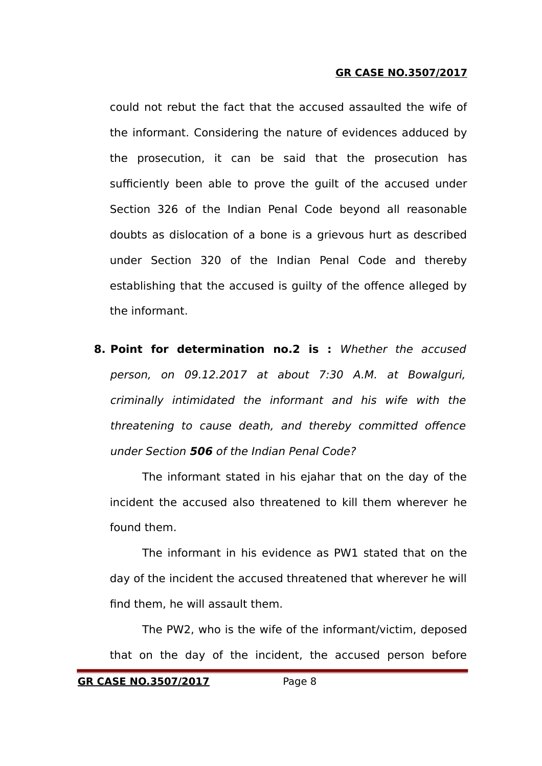could not rebut the fact that the accused assaulted the wife of the informant. Considering the nature of evidences adduced by the prosecution, it can be said that the prosecution has sufficiently been able to prove the guilt of the accused under Section 326 of the Indian Penal Code beyond all reasonable doubts as dislocation of a bone is a grievous hurt as described under Section 320 of the Indian Penal Code and thereby establishing that the accused is guilty of the offence alleged by the informant.

**8. Point for determination no.2 is :** Whether the accused person, on 09.12.2017 at about 7:30 A.M. at Bowalguri, criminally intimidated the informant and his wife with the threatening to cause death, and thereby committed offence under Section **506** of the Indian Penal Code?

The informant stated in his ejahar that on the day of the incident the accused also threatened to kill them wherever he found them.

The informant in his evidence as PW1 stated that on the day of the incident the accused threatened that wherever he will find them, he will assault them.

The PW2, who is the wife of the informant/victim, deposed that on the day of the incident, the accused person before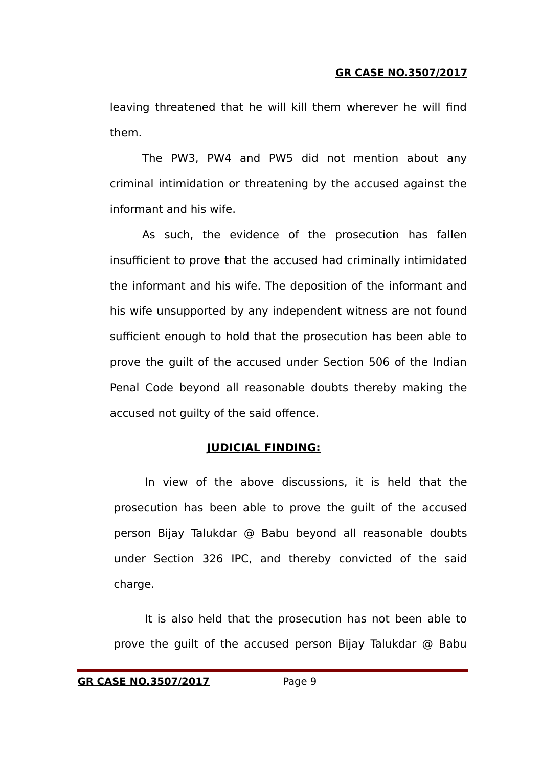leaving threatened that he will kill them wherever he will find them.

The PW3, PW4 and PW5 did not mention about any criminal intimidation or threatening by the accused against the informant and his wife.

As such, the evidence of the prosecution has fallen insufficient to prove that the accused had criminally intimidated the informant and his wife. The deposition of the informant and his wife unsupported by any independent witness are not found sufficient enough to hold that the prosecution has been able to prove the guilt of the accused under Section 506 of the Indian Penal Code beyond all reasonable doubts thereby making the accused not guilty of the said offence.

## **JUDICIAL FINDING:**

In view of the above discussions, it is held that the prosecution has been able to prove the guilt of the accused person Bijay Talukdar @ Babu beyond all reasonable doubts under Section 326 IPC, and thereby convicted of the said charge.

It is also held that the prosecution has not been able to prove the guilt of the accused person Bijay Talukdar @ Babu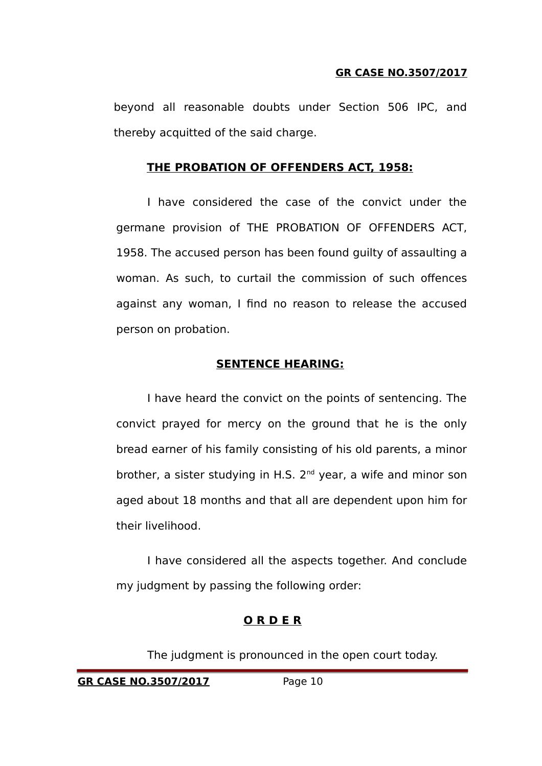beyond all reasonable doubts under Section 506 IPC, and thereby acquitted of the said charge.

# **THE PROBATION OF OFFENDERS ACT, 1958:**

I have considered the case of the convict under the germane provision of THE PROBATION OF OFFENDERS ACT, 1958. The accused person has been found guilty of assaulting a woman. As such, to curtail the commission of such offences against any woman, I find no reason to release the accused person on probation.

# **SENTENCE HEARING:**

I have heard the convict on the points of sentencing. The convict prayed for mercy on the ground that he is the only bread earner of his family consisting of his old parents, a minor brother, a sister studying in H.S. 2<sup>nd</sup> year, a wife and minor son aged about 18 months and that all are dependent upon him for their livelihood.

I have considered all the aspects together. And conclude my judgment by passing the following order:

# **O R D E R**

The judgment is pronounced in the open court today.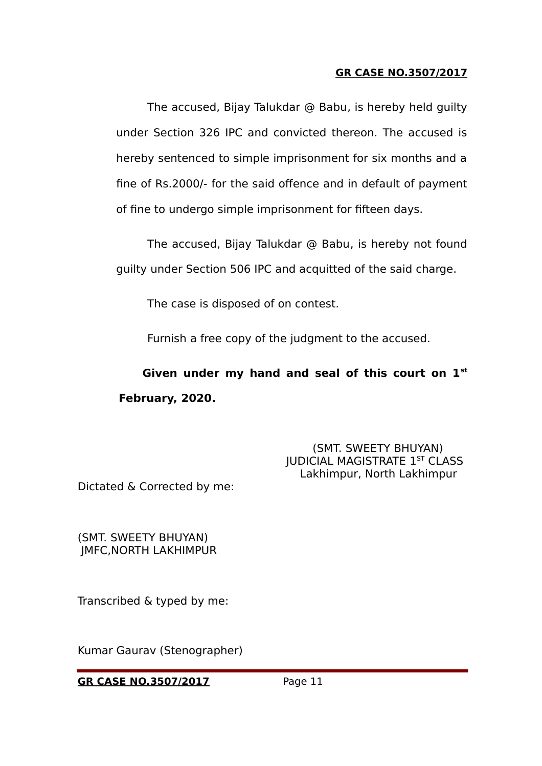The accused, Bijay Talukdar @ Babu, is hereby held guilty under Section 326 IPC and convicted thereon. The accused is hereby sentenced to simple imprisonment for six months and a fine of Rs.2000/- for the said offence and in default of payment of fine to undergo simple imprisonment for fifteen days.

The accused, Bijay Talukdar @ Babu, is hereby not found guilty under Section 506 IPC and acquitted of the said charge.

The case is disposed of on contest.

Furnish a free copy of the judgment to the accused.

 **Given under my hand and seal of this court on 1st February, 2020.**

> (SMT. SWEETY BHUYAN) JUDICIAL MAGISTRATE 1ST CLASS Lakhimpur, North Lakhimpur

Dictated & Corrected by me:

(SMT. SWEETY BHUYAN) JMFC,NORTH LAKHIMPUR

Transcribed & typed by me:

Kumar Gaurav (Stenographer)